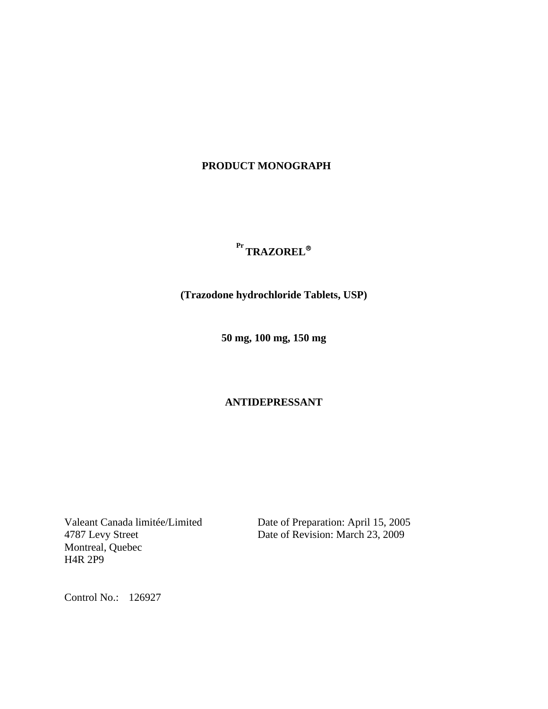# **PRODUCT MONOGRAPH**

# **Pr TRAZOREL**®

 **(Trazodone hydrochloride Tablets, USP)** 

 **50 mg, 100 mg, 150 mg** 

# **ANTIDEPRESSANT**

Montreal, Quebec H4R 2P9

Valeant Canada limitée/Limited Date of Preparation: April 15, 2005 Date of Revision: March 23, 2009

Control No.: 126927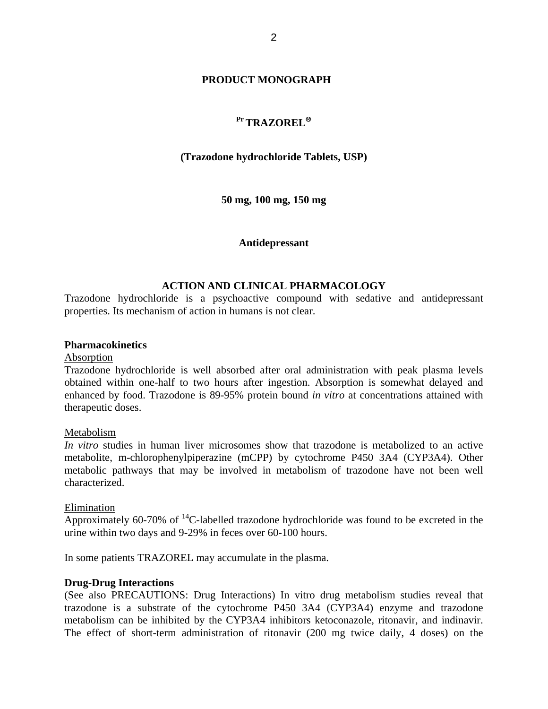### **PRODUCT MONOGRAPH**

# **Pr TRAZOREL**®

# **(Trazodone hydrochloride Tablets, USP)**

 **50 mg, 100 mg, 150 mg** 

### **Antidepressant**

# **ACTION AND CLINICAL PHARMACOLOGY**

Trazodone hydrochloride is a psychoactive compound with sedative and antidepressant properties. Its mechanism of action in humans is not clear.

### **Pharmacokinetics**

#### Absorption

Trazodone hydrochloride is well absorbed after oral administration with peak plasma levels obtained within one-half to two hours after ingestion. Absorption is somewhat delayed and enhanced by food. Trazodone is 89-95% protein bound *in vitro* at concentrations attained with therapeutic doses.

### Metabolism

*In vitro* studies in human liver microsomes show that trazodone is metabolized to an active metabolite, m-chlorophenylpiperazine (mCPP) by cytochrome P450 3A4 (CYP3A4). Other metabolic pathways that may be involved in metabolism of trazodone have not been well characterized.

#### Elimination

Approximately 60-70% of  $^{14}$ C-labelled trazodone hydrochloride was found to be excreted in the urine within two days and 9-29% in feces over 60-100 hours.

In some patients TRAZOREL may accumulate in the plasma.

### **Drug-Drug Interactions**

(See also PRECAUTIONS: Drug Interactions) In vitro drug metabolism studies reveal that trazodone is a substrate of the cytochrome P450 3A4 (CYP3A4) enzyme and trazodone metabolism can be inhibited by the CYP3A4 inhibitors ketoconazole, ritonavir, and indinavir. The effect of short-term administration of ritonavir (200 mg twice daily, 4 doses) on the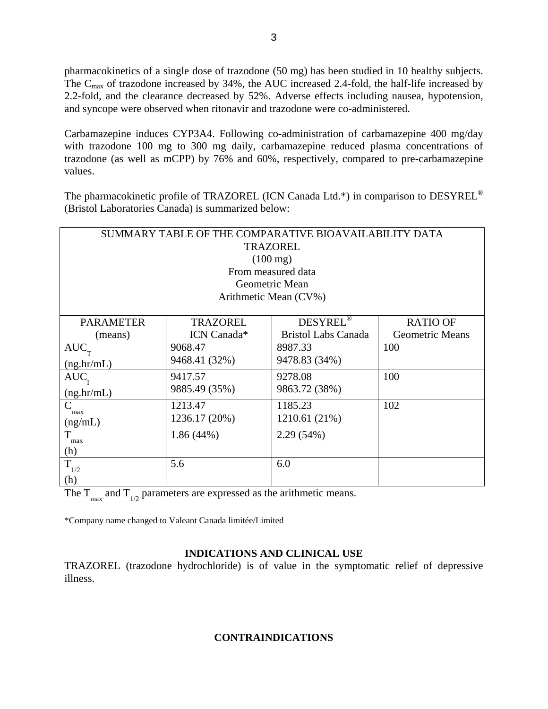pharmacokinetics of a single dose of trazodone (50 mg) has been studied in 10 healthy subjects. The  $C_{\text{max}}$  of trazodone increased by 34%, the AUC increased 2.4-fold, the half-life increased by 2.2-fold, and the clearance decreased by 52%. Adverse effects including nausea, hypotension, and syncope were observed when ritonavir and trazodone were co-administered.

Carbamazepine induces CYP3A4. Following co-administration of carbamazepine 400 mg/day with trazodone 100 mg to 300 mg daily, carbamazepine reduced plasma concentrations of trazodone (as well as mCPP) by 76% and 60%, respectively, compared to pre-carbamazepine values.

The pharmacokinetic profile of TRAZOREL (ICN Canada Ltd.\*) in comparison to DESYREL® (Bristol Laboratories Canada) is summarized below:

| SUMMARY TABLE OF THE COMPARATIVE BIOAVAILABILITY DATA |                 |                            |                        |  |  |  |
|-------------------------------------------------------|-----------------|----------------------------|------------------------|--|--|--|
| <b>TRAZOREL</b>                                       |                 |                            |                        |  |  |  |
| $(100 \text{ mg})$                                    |                 |                            |                        |  |  |  |
| From measured data                                    |                 |                            |                        |  |  |  |
| Geometric Mean                                        |                 |                            |                        |  |  |  |
| Arithmetic Mean (CV%)                                 |                 |                            |                        |  |  |  |
|                                                       |                 |                            |                        |  |  |  |
| <b>PARAMETER</b>                                      | <b>TRAZOREL</b> | DESYREL <sup>®</sup>       | <b>RATIO OF</b>        |  |  |  |
| (means)                                               | ICN Canada*     | <b>Bristol Labs Canada</b> | <b>Geometric Means</b> |  |  |  |
| $AUC$ <sub>T</sub>                                    | 9068.47         | 8987.33                    | 100                    |  |  |  |
| (ng,hr/mL)                                            | 9468.41 (32%)   | 9478.83 (34%)              |                        |  |  |  |
| $AUC$ <sub>r</sub>                                    | 9417.57         | 9278.08                    | 100                    |  |  |  |
| (ng/hr/mL)                                            | 9885.49 (35%)   | 9863.72 (38%)              |                        |  |  |  |
| $\mathsf{C}$<br>max                                   | 1213.47         | 1185.23                    | 102                    |  |  |  |
| (ng/mL)                                               | 1236.17 (20%)   | 1210.61 (21%)              |                        |  |  |  |
| T<br>max                                              | $1.86(44\%)$    | 2.29 (54%)                 |                        |  |  |  |
| (h)                                                   |                 |                            |                        |  |  |  |
| $\overline{T}_{1/2}$                                  | 5.6             | 6.0                        |                        |  |  |  |
| (h)                                                   |                 |                            |                        |  |  |  |

The  $T_{\text{max}}$  and  $T_{1/2}$  parameters are expressed as the arithmetic means.

\*Company name changed to Valeant Canada limitée/Limited

# **INDICATIONS AND CLINICAL USE**

TRAZOREL (trazodone hydrochloride) is of value in the symptomatic relief of depressive illness.

# **CONTRAINDICATIONS**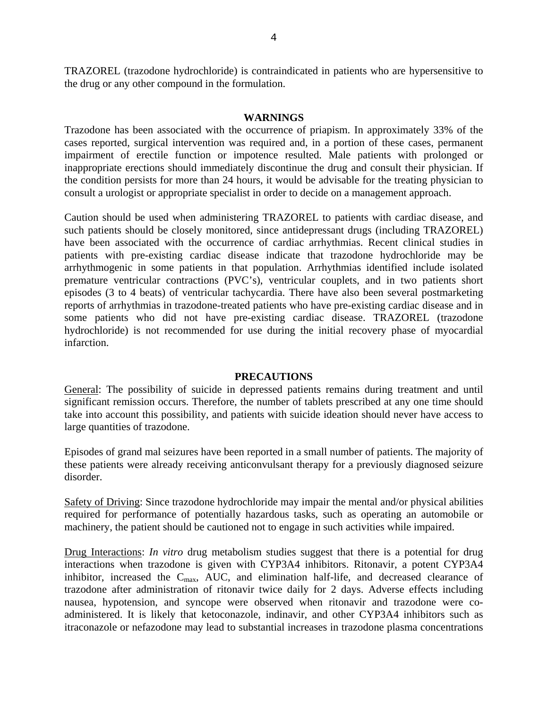TRAZOREL (trazodone hydrochloride) is contraindicated in patients who are hypersensitive to the drug or any other compound in the formulation.

### **WARNINGS**

Trazodone has been associated with the occurrence of priapism. In approximately 33% of the cases reported, surgical intervention was required and, in a portion of these cases, permanent impairment of erectile function or impotence resulted. Male patients with prolonged or inappropriate erections should immediately discontinue the drug and consult their physician. If the condition persists for more than 24 hours, it would be advisable for the treating physician to consult a urologist or appropriate specialist in order to decide on a management approach.

Caution should be used when administering TRAZOREL to patients with cardiac disease, and such patients should be closely monitored, since antidepressant drugs (including TRAZOREL) have been associated with the occurrence of cardiac arrhythmias. Recent clinical studies in patients with pre-existing cardiac disease indicate that trazodone hydrochloride may be arrhythmogenic in some patients in that population. Arrhythmias identified include isolated premature ventricular contractions (PVC's), ventricular couplets, and in two patients short episodes (3 to 4 beats) of ventricular tachycardia. There have also been several postmarketing reports of arrhythmias in trazodone-treated patients who have pre-existing cardiac disease and in some patients who did not have pre-existing cardiac disease. TRAZOREL (trazodone hydrochloride) is not recommended for use during the initial recovery phase of myocardial infarction.

### **PRECAUTIONS**

General: The possibility of suicide in depressed patients remains during treatment and until significant remission occurs. Therefore, the number of tablets prescribed at any one time should take into account this possibility, and patients with suicide ideation should never have access to large quantities of trazodone.

Episodes of grand mal seizures have been reported in a small number of patients. The majority of these patients were already receiving anticonvulsant therapy for a previously diagnosed seizure disorder.

Safety of Driving: Since trazodone hydrochloride may impair the mental and/or physical abilities required for performance of potentially hazardous tasks, such as operating an automobile or machinery, the patient should be cautioned not to engage in such activities while impaired.

Drug Interactions: *In vitro* drug metabolism studies suggest that there is a potential for drug interactions when trazodone is given with CYP3A4 inhibitors. Ritonavir, a potent CYP3A4 inhibitor, increased the  $C_{\text{max}}$ , AUC, and elimination half-life, and decreased clearance of trazodone after administration of ritonavir twice daily for 2 days. Adverse effects including nausea, hypotension, and syncope were observed when ritonavir and trazodone were coadministered. It is likely that ketoconazole, indinavir, and other CYP3A4 inhibitors such as itraconazole or nefazodone may lead to substantial increases in trazodone plasma concentrations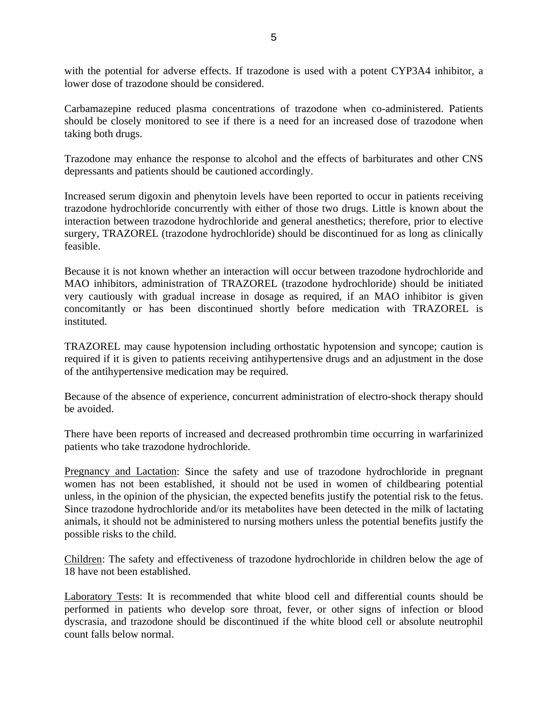with the potential for adverse effects. If trazodone is used with a potent CYP3A4 inhibitor, a lower dose of trazodone should be considered.

Carbamazepine reduced plasma concentrations of trazodone when co-administered. Patients should be closely monitored to see if there is a need for an increased dose of trazodone when taking both drugs.

Trazodone may enhance the response to alcohol and the effects of barbiturates and other CNS depressants and patients should be cautioned accordingly.

Increased serum digoxin and phenytoin levels have been reported to occur in patients receiving trazodone hydrochloride concurrently with either of those two drugs. Little is known about the interaction between trazodone hydrochloride and general anesthetics; therefore, prior to elective surgery, TRAZOREL (trazodone hydrochloride) should be discontinued for as long as clinically feasible.

Because it is not known whether an interaction will occur between trazodone hydrochloride and MAO inhibitors, administration of TRAZOREL (trazodone hydrochloride) should be initiated very cautiously with gradual increase in dosage as required, if an MAO inhibitor is given concomitantly or has been discontinued shortly before medication with TRAZOREL is instituted.

TRAZOREL may cause hypotension including orthostatic hypotension and syncope; caution is required if it is given to patients receiving antihypertensive drugs and an adjustment in the dose of the antihypertensive medication may be required.

Because of the absence of experience, concurrent administration of electro-shock therapy should be avoided.

There have been reports of increased and decreased prothrombin time occurring in warfarinized patients who take trazodone hydrochloride.

Pregnancy and Lactation: Since the safety and use of trazodone hydrochloride in pregnant women has not been established, it should not be used in women of childbearing potential unless, in the opinion of the physician, the expected benefits justify the potential risk to the fetus. Since trazodone hydrochloride and/or its metabolites have been detected in the milk of lactating animals, it should not be administered to nursing mothers unless the potential benefits justify the possible risks to the child.

Children: The safety and effectiveness of trazodone hydrochloride in children below the age of 18 have not been established.

Laboratory Tests: It is recommended that white blood cell and differential counts should be performed in patients who develop sore throat, fever, or other signs of infection or blood dyscrasia, and trazodone should be discontinued if the white blood cell or absolute neutrophil count falls below normal.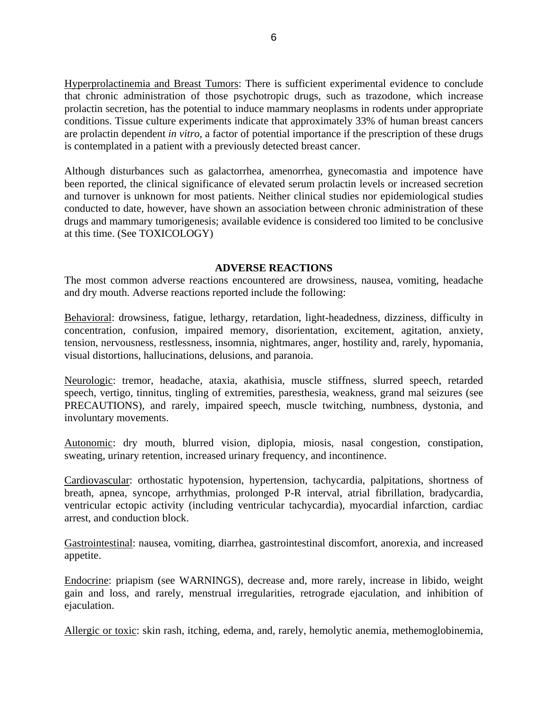Hyperprolactinemia and Breast Tumors: There is sufficient experimental evidence to conclude that chronic administration of those psychotropic drugs, such as trazodone, which increase prolactin secretion, has the potential to induce mammary neoplasms in rodents under appropriate conditions. Tissue culture experiments indicate that approximately 33% of human breast cancers are prolactin dependent *in vitro*, a factor of potential importance if the prescription of these drugs is contemplated in a patient with a previously detected breast cancer.

Although disturbances such as galactorrhea, amenorrhea, gynecomastia and impotence have been reported, the clinical significance of elevated serum prolactin levels or increased secretion and turnover is unknown for most patients. Neither clinical studies nor epidemiological studies conducted to date, however, have shown an association between chronic administration of these drugs and mammary tumorigenesis; available evidence is considered too limited to be conclusive at this time. (See TOXICOLOGY)

### **ADVERSE REACTIONS**

The most common adverse reactions encountered are drowsiness, nausea, vomiting, headache and dry mouth. Adverse reactions reported include the following:

Behavioral: drowsiness, fatigue, lethargy, retardation, light-headedness, dizziness, difficulty in concentration, confusion, impaired memory, disorientation, excitement, agitation, anxiety, tension, nervousness, restlessness, insomnia, nightmares, anger, hostility and, rarely, hypomania, visual distortions, hallucinations, delusions, and paranoia.

Neurologic: tremor, headache, ataxia, akathisia, muscle stiffness, slurred speech, retarded speech, vertigo, tinnitus, tingling of extremities, paresthesia, weakness, grand mal seizures (see PRECAUTIONS), and rarely, impaired speech, muscle twitching, numbness, dystonia, and involuntary movements.

Autonomic: dry mouth, blurred vision, diplopia, miosis, nasal congestion, constipation, sweating, urinary retention, increased urinary frequency, and incontinence.

Cardiovascular: orthostatic hypotension, hypertension, tachycardia, palpitations, shortness of breath, apnea, syncope, arrhythmias, prolonged P-R interval, atrial fibrillation, bradycardia, ventricular ectopic activity (including ventricular tachycardia), myocardial infarction, cardiac arrest, and conduction block.

Gastrointestinal: nausea, vomiting, diarrhea, gastrointestinal discomfort, anorexia, and increased appetite.

Endocrine: priapism (see WARNINGS), decrease and, more rarely, increase in libido, weight gain and loss, and rarely, menstrual irregularities, retrograde ejaculation, and inhibition of ejaculation.

Allergic or toxic: skin rash, itching, edema, and, rarely, hemolytic anemia, methemoglobinemia,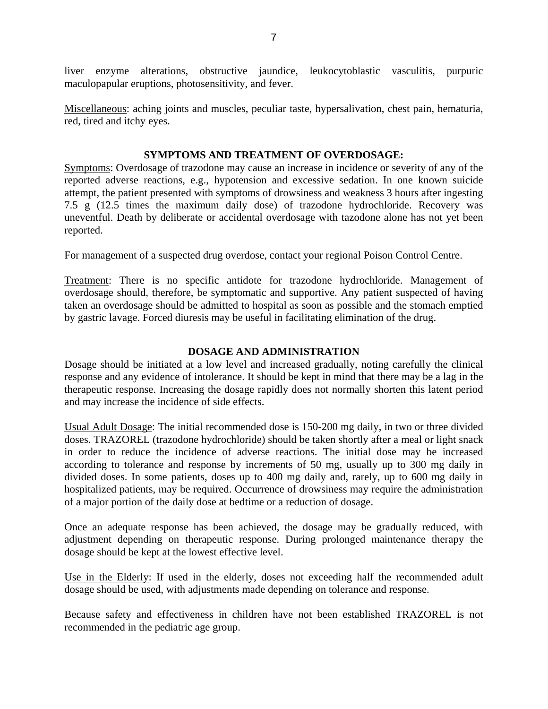liver enzyme alterations, obstructive jaundice, leukocytoblastic vasculitis, purpuric maculopapular eruptions, photosensitivity, and fever.

Miscellaneous: aching joints and muscles, peculiar taste, hypersalivation, chest pain, hematuria, red, tired and itchy eyes.

# **SYMPTOMS AND TREATMENT OF OVERDOSAGE:**

Symptoms: Overdosage of trazodone may cause an increase in incidence or severity of any of the reported adverse reactions, e.g., hypotension and excessive sedation. In one known suicide attempt, the patient presented with symptoms of drowsiness and weakness 3 hours after ingesting 7.5 g (12.5 times the maximum daily dose) of trazodone hydrochloride. Recovery was uneventful. Death by deliberate or accidental overdosage with tazodone alone has not yet been reported.

For management of a suspected drug overdose, contact your regional Poison Control Centre.

Treatment: There is no specific antidote for trazodone hydrochloride. Management of overdosage should, therefore, be symptomatic and supportive. Any patient suspected of having taken an overdosage should be admitted to hospital as soon as possible and the stomach emptied by gastric lavage. Forced diuresis may be useful in facilitating elimination of the drug.

# **DOSAGE AND ADMINISTRATION**

Dosage should be initiated at a low level and increased gradually, noting carefully the clinical response and any evidence of intolerance. It should be kept in mind that there may be a lag in the therapeutic response. Increasing the dosage rapidly does not normally shorten this latent period and may increase the incidence of side effects.

Usual Adult Dosage: The initial recommended dose is 150-200 mg daily, in two or three divided doses. TRAZOREL (trazodone hydrochloride) should be taken shortly after a meal or light snack in order to reduce the incidence of adverse reactions. The initial dose may be increased according to tolerance and response by increments of 50 mg, usually up to 300 mg daily in divided doses. In some patients, doses up to 400 mg daily and, rarely, up to 600 mg daily in hospitalized patients, may be required. Occurrence of drowsiness may require the administration of a major portion of the daily dose at bedtime or a reduction of dosage.

Once an adequate response has been achieved, the dosage may be gradually reduced, with adjustment depending on therapeutic response. During prolonged maintenance therapy the dosage should be kept at the lowest effective level.

Use in the Elderly: If used in the elderly, doses not exceeding half the recommended adult dosage should be used, with adjustments made depending on tolerance and response.

Because safety and effectiveness in children have not been established TRAZOREL is not recommended in the pediatric age group.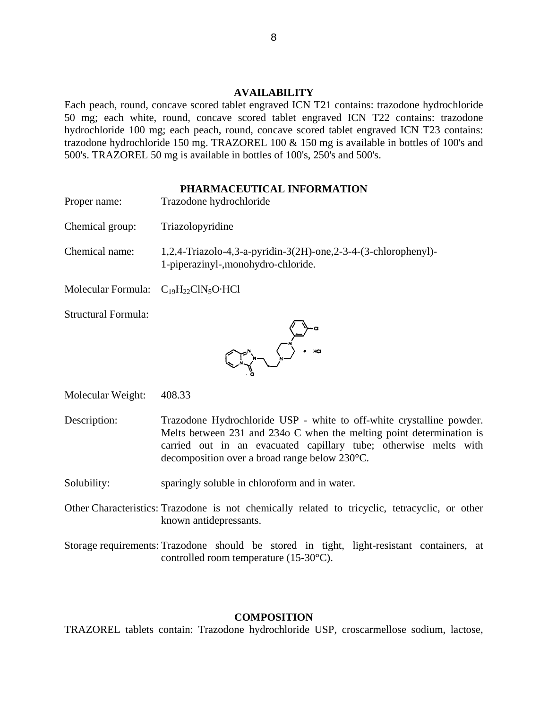### **AVAILABILITY**

Each peach, round, concave scored tablet engraved ICN T21 contains: trazodone hydrochloride 50 mg; each white, round, concave scored tablet engraved ICN T22 contains: trazodone hydrochloride 100 mg; each peach, round, concave scored tablet engraved ICN T23 contains: trazodone hydrochloride 150 mg. TRAZOREL 100 & 150 mg is available in bottles of 100's and 500's. TRAZOREL 50 mg is available in bottles of 100's, 250's and 500's.

### **PHARMACEUTICAL INFORMATION**

- Proper name: Trazodone hydrochloride
- Chemical group: Triazolopyridine
- Chemical name: 1,2,4-Triazolo-4,3-a-pyridin-3(2H)-one,2-3-4-(3-chlorophenyl)- 1-piperazinyl-,monohydro-chloride.
- Molecular Formula:  $C_{19}H_{22}CIN_5O \cdot HCl$
- Structural Formula:



Molecular Weight: 408.33

- Description: Trazodone Hydrochloride USP white to off-white crystalline powder. Melts between 231 and 234o C when the melting point determination is carried out in an evacuated capillary tube; otherwise melts with decomposition over a broad range below 230°C.
- Solubility: sparingly soluble in chloroform and in water.
- Other Characteristics: Trazodone is not chemically related to tricyclic, tetracyclic, or other known antidepressants.

Storage requirements: Trazodone should be stored in tight, light-resistant containers, at controlled room temperature (15-30°C).

### **COMPOSITION**

TRAZOREL tablets contain: Trazodone hydrochloride USP, croscarmellose sodium, lactose,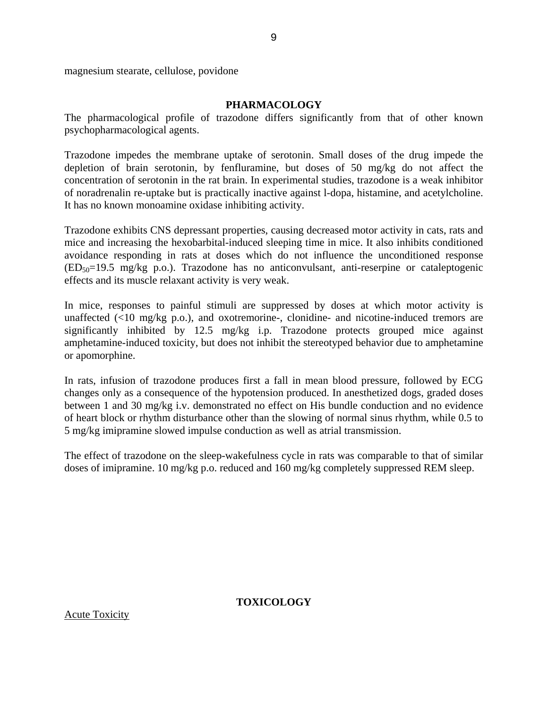magnesium stearate, cellulose, povidone

#### **PHARMACOLOGY**

9

The pharmacological profile of trazodone differs significantly from that of other known psychopharmacological agents.

Trazodone impedes the membrane uptake of serotonin. Small doses of the drug impede the depletion of brain serotonin, by fenfluramine, but doses of 50 mg/kg do not affect the concentration of serotonin in the rat brain. In experimental studies, trazodone is a weak inhibitor of noradrenalin re-uptake but is practically inactive against l-dopa, histamine, and acetylcholine. It has no known monoamine oxidase inhibiting activity.

Trazodone exhibits CNS depressant properties, causing decreased motor activity in cats, rats and mice and increasing the hexobarbital-induced sleeping time in mice. It also inhibits conditioned avoidance responding in rats at doses which do not influence the unconditioned response  $(ED_{50}=19.5 \text{ mg/kg} \text{ p.o.})$ . Trazodone has no anticonvulsant, anti-reserpine or cataleptogenic effects and its muscle relaxant activity is very weak.

In mice, responses to painful stimuli are suppressed by doses at which motor activity is unaffected  $(\leq 10 \text{ mg/kg p.o.})$ , and oxotremorine-, clonidine- and nicotine-induced tremors are significantly inhibited by 12.5 mg/kg i.p. Trazodone protects grouped mice against amphetamine-induced toxicity, but does not inhibit the stereotyped behavior due to amphetamine or apomorphine.

In rats, infusion of trazodone produces first a fall in mean blood pressure, followed by ECG changes only as a consequence of the hypotension produced. In anesthetized dogs, graded doses between 1 and 30 mg/kg i.v. demonstrated no effect on His bundle conduction and no evidence of heart block or rhythm disturbance other than the slowing of normal sinus rhythm, while 0.5 to 5 mg/kg imipramine slowed impulse conduction as well as atrial transmission.

The effect of trazodone on the sleep-wakefulness cycle in rats was comparable to that of similar doses of imipramine. 10 mg/kg p.o. reduced and 160 mg/kg completely suppressed REM sleep.

**TOXICOLOGY** 

Acute Toxicity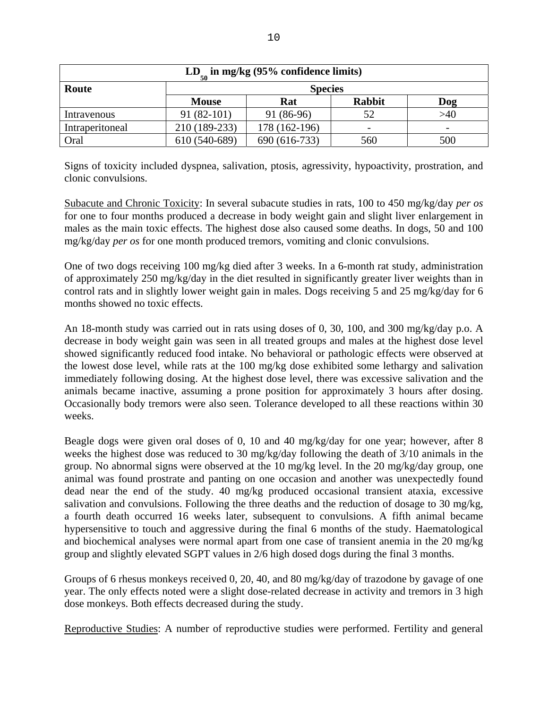| $LD_{50}$ in mg/kg (95% confidence limits) |               |                |               |     |  |  |
|--------------------------------------------|---------------|----------------|---------------|-----|--|--|
| Route                                      |               | <b>Species</b> |               |     |  |  |
|                                            | <b>Mouse</b>  | Rat            | <b>Rabbit</b> | Dog |  |  |
| Intravenous                                | $91(82-101)$  | 91 (86-96)     | 52            | >40 |  |  |
| Intraperitoneal                            | 210 (189-233) | 178 (162-196)  |               |     |  |  |
| Oral                                       | 610 (540-689) | 690 (616-733)  | 560           | 500 |  |  |

Signs of toxicity included dyspnea, salivation, ptosis, agressivity, hypoactivity, prostration, and clonic convulsions.

Subacute and Chronic Toxicity: In several subacute studies in rats, 100 to 450 mg/kg/day *per os* for one to four months produced a decrease in body weight gain and slight liver enlargement in males as the main toxic effects. The highest dose also caused some deaths. In dogs, 50 and 100 mg/kg/day *per os* for one month produced tremors, vomiting and clonic convulsions.

One of two dogs receiving 100 mg/kg died after 3 weeks. In a 6-month rat study, administration of approximately 250 mg/kg/day in the diet resulted in significantly greater liver weights than in control rats and in slightly lower weight gain in males. Dogs receiving 5 and 25 mg/kg/day for 6 months showed no toxic effects.

An 18-month study was carried out in rats using doses of 0, 30, 100, and 300 mg/kg/day p.o. A decrease in body weight gain was seen in all treated groups and males at the highest dose level showed significantly reduced food intake. No behavioral or pathologic effects were observed at the lowest dose level, while rats at the 100 mg/kg dose exhibited some lethargy and salivation immediately following dosing. At the highest dose level, there was excessive salivation and the animals became inactive, assuming a prone position for approximately 3 hours after dosing. Occasionally body tremors were also seen. Tolerance developed to all these reactions within 30 weeks.

Beagle dogs were given oral doses of 0, 10 and 40 mg/kg/day for one year; however, after 8 weeks the highest dose was reduced to 30 mg/kg/day following the death of 3/10 animals in the group. No abnormal signs were observed at the 10 mg/kg level. In the 20 mg/kg/day group, one animal was found prostrate and panting on one occasion and another was unexpectedly found dead near the end of the study. 40 mg/kg produced occasional transient ataxia, excessive salivation and convulsions. Following the three deaths and the reduction of dosage to 30 mg/kg, a fourth death occurred 16 weeks later, subsequent to convulsions. A fifth animal became hypersensitive to touch and aggressive during the final 6 months of the study. Haematological and biochemical analyses were normal apart from one case of transient anemia in the 20 mg/kg group and slightly elevated SGPT values in 2/6 high dosed dogs during the final 3 months.

Groups of 6 rhesus monkeys received 0, 20, 40, and 80 mg/kg/day of trazodone by gavage of one year. The only effects noted were a slight dose-related decrease in activity and tremors in 3 high dose monkeys. Both effects decreased during the study.

Reproductive Studies: A number of reproductive studies were performed. Fertility and general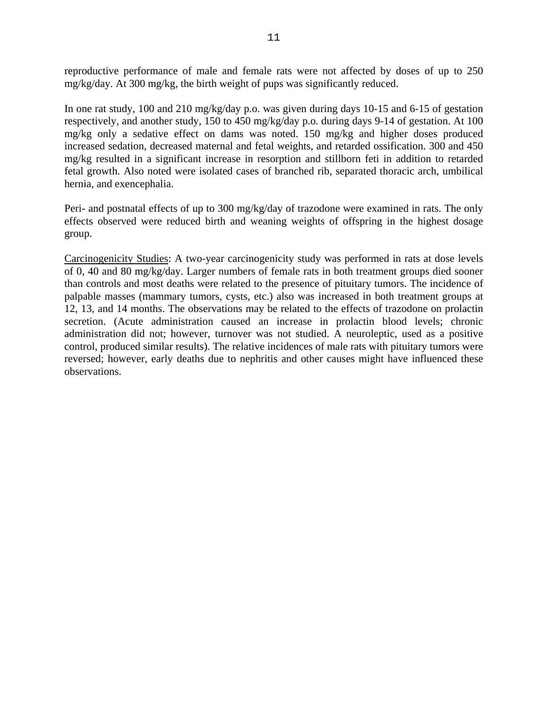reproductive performance of male and female rats were not affected by doses of up to 250 mg/kg/day. At 300 mg/kg, the birth weight of pups was significantly reduced.

In one rat study, 100 and 210 mg/kg/day p.o. was given during days 10-15 and 6-15 of gestation respectively, and another study, 150 to 450 mg/kg/day p.o. during days 9-14 of gestation. At 100 mg/kg only a sedative effect on dams was noted. 150 mg/kg and higher doses produced increased sedation, decreased maternal and fetal weights, and retarded ossification. 300 and 450 mg/kg resulted in a significant increase in resorption and stillborn feti in addition to retarded fetal growth. Also noted were isolated cases of branched rib, separated thoracic arch, umbilical hernia, and exencephalia.

Peri- and postnatal effects of up to 300 mg/kg/day of trazodone were examined in rats. The only effects observed were reduced birth and weaning weights of offspring in the highest dosage group.

Carcinogenicity Studies: A two-year carcinogenicity study was performed in rats at dose levels of 0, 40 and 80 mg/kg/day. Larger numbers of female rats in both treatment groups died sooner than controls and most deaths were related to the presence of pituitary tumors. The incidence of palpable masses (mammary tumors, cysts, etc.) also was increased in both treatment groups at 12, 13, and 14 months. The observations may be related to the effects of trazodone on prolactin secretion. (Acute administration caused an increase in prolactin blood levels; chronic administration did not; however, turnover was not studied. A neuroleptic, used as a positive control, produced similar results). The relative incidences of male rats with pituitary tumors were reversed; however, early deaths due to nephritis and other causes might have influenced these observations.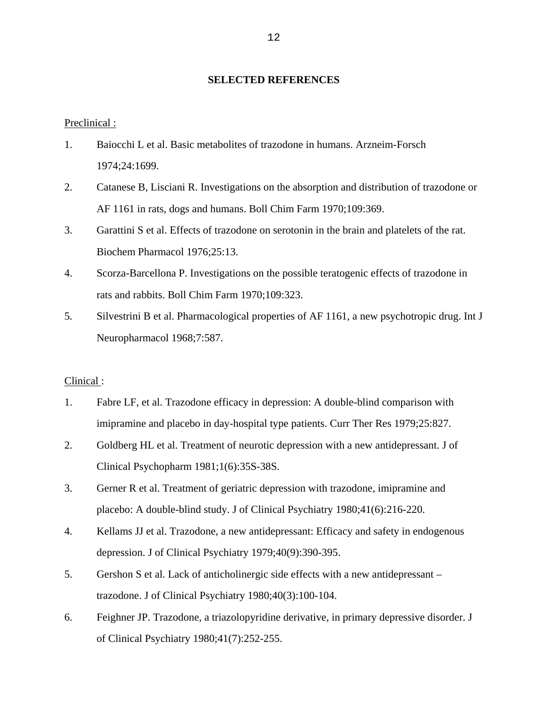# **SELECTED REFERENCES**

Preclinical :

- 1. Baiocchi L et al. Basic metabolites of trazodone in humans. Arzneim-Forsch 1974;24:1699.
- 2. Catanese B, Lisciani R. Investigations on the absorption and distribution of trazodone or AF 1161 in rats, dogs and humans. Boll Chim Farm 1970;109:369.
- 3. Garattini S et al. Effects of trazodone on serotonin in the brain and platelets of the rat. Biochem Pharmacol 1976;25:13.
- 4. Scorza-Barcellona P. Investigations on the possible teratogenic effects of trazodone in rats and rabbits. Boll Chim Farm 1970;109:323.
- 5. Silvestrini B et al. Pharmacological properties of AF 1161, a new psychotropic drug. Int J Neuropharmacol 1968;7:587.

### Clinical :

- 1. Fabre LF, et al. Trazodone efficacy in depression: A double-blind comparison with imipramine and placebo in day-hospital type patients. Curr Ther Res 1979;25:827.
- 2. Goldberg HL et al. Treatment of neurotic depression with a new antidepressant. J of Clinical Psychopharm 1981;1(6):35S-38S.
- 3. Gerner R et al. Treatment of geriatric depression with trazodone, imipramine and placebo: A double-blind study. J of Clinical Psychiatry 1980;41(6):216-220.
- 4. Kellams JJ et al. Trazodone, a new antidepressant: Efficacy and safety in endogenous depression. J of Clinical Psychiatry 1979;40(9):390-395.
- 5. Gershon S et al. Lack of anticholinergic side effects with a new antidepressant trazodone. J of Clinical Psychiatry 1980;40(3):100-104.
- 6. Feighner JP. Trazodone, a triazolopyridine derivative, in primary depressive disorder. J of Clinical Psychiatry 1980;41(7):252-255.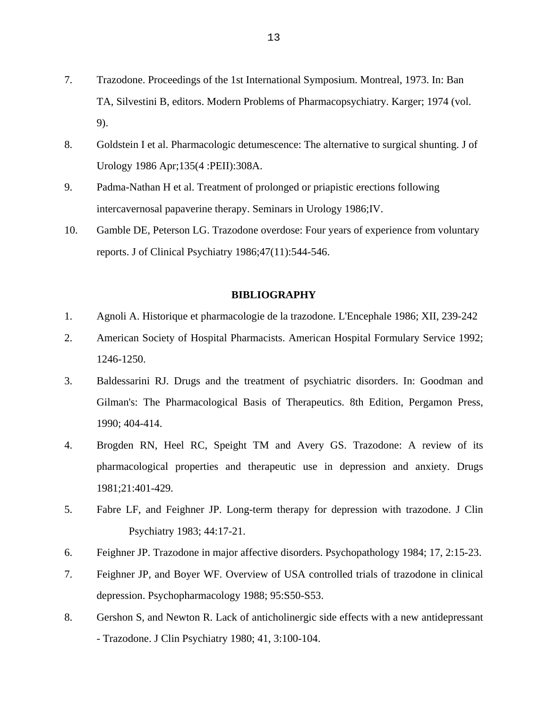- 7. Trazodone. Proceedings of the 1st International Symposium. Montreal, 1973. In: Ban TA, Silvestini B, editors. Modern Problems of Pharmacopsychiatry. Karger; 1974 (vol. 9).
- 8. Goldstein I et al. Pharmacologic detumescence: The alternative to surgical shunting. J of Urology 1986 Apr;135(4 :PEII):308A.
- 9. Padma-Nathan H et al. Treatment of prolonged or priapistic erections following intercavernosal papaverine therapy. Seminars in Urology 1986;IV.
- 10. Gamble DE, Peterson LG. Trazodone overdose: Four years of experience from voluntary reports. J of Clinical Psychiatry 1986;47(11):544-546.

### **BIBLIOGRAPHY**

- 1. Agnoli A. Historique et pharmacologie de la trazodone. L'Encephale 1986; XII, 239-242
- 2. American Society of Hospital Pharmacists. American Hospital Formulary Service 1992; 1246-1250.
- 3. Baldessarini RJ. Drugs and the treatment of psychiatric disorders. In: Goodman and Gilman's: The Pharmacological Basis of Therapeutics. 8th Edition, Pergamon Press, 1990; 404-414.
- 4. Brogden RN, Heel RC, Speight TM and Avery GS. Trazodone: A review of its pharmacological properties and therapeutic use in depression and anxiety. Drugs 1981;21:401-429.
- 5. Fabre LF, and Feighner JP. Long-term therapy for depression with trazodone. J Clin Psychiatry 1983; 44:17-21.
- 6. Feighner JP. Trazodone in major affective disorders. Psychopathology 1984; 17, 2:15-23.
- 7. Feighner JP, and Boyer WF. Overview of USA controlled trials of trazodone in clinical depression. Psychopharmacology 1988; 95:S50-S53.
- 8. Gershon S, and Newton R. Lack of anticholinergic side effects with a new antidepressant - Trazodone. J Clin Psychiatry 1980; 41, 3:100-104.